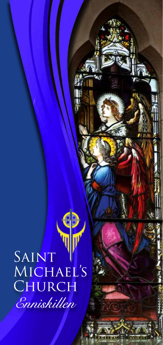SAINT Michael's **CHURCH** *Enniskillen*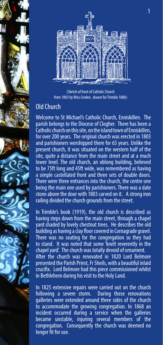



(Sketch of front of Catholic Church from 1803 by Miss Creden, drawn for Trimble 1880*)*

## Old Church

Welcome to St Michael's Catholic Church, Enniskillen. The parish belongs to the Diocese of Clogher. There has been a Catholic church on this site, on the island town of Enniskillen, for over 200 years. The original church was erected in 1803 and parishioners worshipped there for 65 years. Unlike the present church, it was situated on the western half of the site, quite a distance from the main street and at a much lower level. The old church, an oblong building, believed to be 75ft long and 45ft wide, was remembered as having a simple castellated front and three sets of double doors. There were three entrances into the church, the centre one being the main one used by parishioners. There was a date stone above the door with 1803 carved on it. A strong iron railing divided the church grounds from the street.

In Trimble's book (1919), the old church is described as having steps down from the main street, through a chapel yard shaded by lovely chestnut trees. He describes the old building as having a clay floor covered in Cornagrade gravel. There was no seating for the congregation so they had to stand. It was noted that some 'knelt reverently in the chapel yard'. The church was totally devoid of ornament. After the church was renovated in 1820 Lord Belmore presented the Parish Priest, Fr Sheils, with a beautiful inlaid crucifix. Lord Belmore had this piece commissioned whilst in Bethlehem during his visit to the Holy Land.

In 1825 extensive repairs were carried out on the church following a severe storm. During these renovations galleries were extended around three sides of the church to accommodate the growing congregation. In 1868 an incident occurred during a service when the galleries became unstable, injuring several members of the congregation. Consequently the church was deemed no longer fit for use.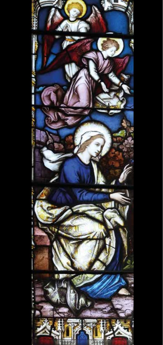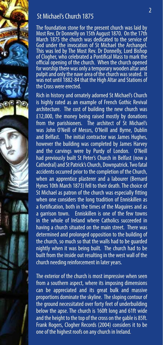

## St Michael's Church 1875

The foundation stone for the present church was laid by Most Rev. Dr Donnelly on 15th August 1870. On the 17th March 1875 the church was dedicated to the service of God under the invocation of St Michael the Archangel. This was led by The Most Rev. Dr Donnelly, Lord Bishop of Clogher, who celebrated a Pontifical Mass to mark the official opening of the church. When the church opened for worship there was only a temporary wooden altar and pulpit and only the nave area of the church was seated. It was not until 1882-84 that the High Altar and Stations of the Cross were erected.

Rich in history and ornately adorned St Michael's Church is highly rated as an example of French Gothic Revival architecture. The cost of building the new church was £12,000, the money being raised mostly by donations from the parishioners. The architect of St Michael's was John O'Neill of Messrs, O'Neill and Byrne, Dublin and Belfast. The initial contractor was James Hughes, however the building was completed by James Harvey and the carvings were by Purdy of London. O'Neill had previously built St Peter's Church in Belfast (now a Cathedral) and St Patrick's Church, Downpatrick. Two fatal accidents occurred prior to the completion of the Church, when an apprentice plasterer and a labourer (Bernard Hynes 10th March 1873) fell to their death. The choice of St Michael as patron of the church was especially fitting when one considers the long tradition of Enniskillen as a fortification, both in the times of the Maguires and as a garrison town. Enniskillen is one of the few towns in the whole of Ireland where Catholics succeeded in having a church situated on the main street. There was determined and prolonged opposition to the building of the church, so much so that the walls had to be guarded nightly when it was being built. The church had to be built from the inside out resulting in the west wall of the church needing reinforcement in later years.

The exterior of the church is most impressive when seen from a southern aspect, where its imposing dimensions can be appreciated and its great bulk and massive proportions dominate the skyline. The sloping contour of the ground necessitated over forty feet of underbuilding below the apse. The church is 160ft long and 61ft wide and the height to the top of the cross on the gable is 85ft. Frank Rogers, Clogher Records (2004) considers it to be one of the highest roofs on any church in Ireland.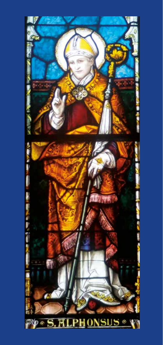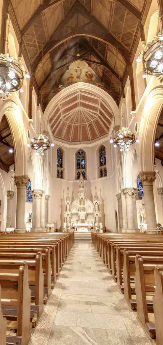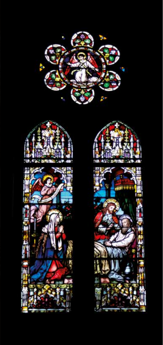







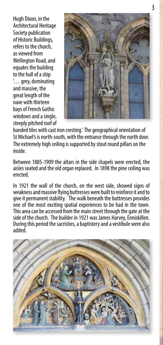Hugh Dixon, in the Architectural Heritage Society publication of Historic Buildings, refers to the church, as viewed from Wellington Road, and equates the building to the hull of a ship '… grey, dominating and massive, the great length of the nave with thirteen bays of French Gothic windows and a single, steeply pitched roof of



banded tiles with cast iron cresting.' The geographical orientation of St Michael's is north-south, with the entrance through the north door. The extremely high ceiling is supported by stout round pillars on the inside.

Between 1885-1909 the altars in the side chapels were erected, the aisles seated and the old organ replaced. In 1898 the pine ceiling was erected.

In 1921 the wall of the church, on the west side, showed signs of weakness and massive flying buttresses were built to reinforce it and to give it permanent stability. The walk beneath the buttresses provides one of the most exciting spatial experiences to be had in the town. This area can be accessed from the main street through the gate at the side of the church. The builder in 1921 was James Harvey, Enniskillen. During this period the sacristies, a baptistery and a vestibule were also added.

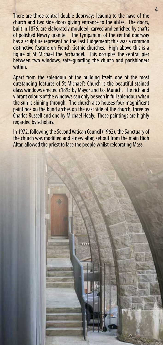There are three central double doorways leading to the nave of the church and two side doors giving entrance to the aisles. The doors, built in 1876, are elaborately moulded, carved and enriched by shafts of polished Newry granite. The tympanum of the central doorway has a sculpture representing the Last Judgement; this was a common distinctive feature on French Gothic churches. High above this is a figure of St Michael the Archangel. This occupies the central pier between two windows, safe-guarding the church and parishioners within.

Apart from the splendour of the building itself, one of the most outstanding features of St Michael's Church is the beautiful stained glass windows erected c1895 by Mayor and Co. Munich. The rich and vibrant colours of the windows can only be seen in full splendour when the sun is shining through. The church also houses four magnificent paintings on the blind arches on the east side of the church, three by Charles Russell and one by Michael Healy. These paintings are highly regarded by scholars.

In 1972, following the Second Vatican Council (1962), the Sanctuary of the church was modified and a new altar, set out from the main High Altar, allowed the priest to face the people whilst celebrating Mass.

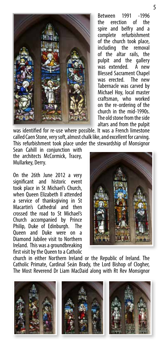



Between 1991 -1996<br>the erection of the the erection spire and belfry and a complete refurbishment of the church took place, including the removal of the altar rails, the pulpit and the gallery was extended. A new **Blessed Sacrament Chapel**<br>was erected. The new was erected. Tabernacle was carved by Michael Hoy, local master craftsman, who worked on the re-ordering of the church in the mid-1990s. The old stone from the side altars and from the pulpit

was identified for re-use where possible. It was a French limestone called Caen Stone, very soft, almost chalk like, and excellent for carving. This refurbishment took place under the stewardship of Monsignor

Sean Cahill in coniunction with the architects McCormick, Tracey, Mullarkey, Derry.

On the 26th June 2012 a very significant and historic event took place in St Michael's Church, when Queen Elizabeth II attended a service of thanksgiving in St Macartin's Cathedral and then crossed the road to St Michael's Church accompanied by Prince Philip, Duke of Edinburgh. The Queen and Duke were on a Diamond Jubilee visit to Northern Ireland. This was a groundbreaking first visit by the Queen to a Catholic



church in either Northern Ireland or the Republic of Ireland. The Catholic Primate, Cardinal Seán Brady, the Lord Bishop of Clogher, The Most Reverend Dr Liam MacDaid along with Rt Rev Monsignor

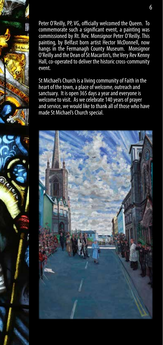

Peter O'Reilly, PP, VG, officially welcomed the Queen. To commemorate such a significant event, a painting was commissioned by Rt. Rev. Monsignor Peter O'Reilly. This painting, by Belfast born artist Hector McDonnell, now hangs in the Fermanagh County Museum. Monsignor O'Reilly and the Dean of St Macartin's, the Very Rev Kenny Hall, co-operated to deliver the historic cross-community event.

St Michael's Church is a living community of Faith in the heart of the town, a place of welcome, outreach and sanctuary. It is open 365 days a year and everyone is welcome to visit. As we celebrate 140 years of prayer and service, we would like to thank all of those who have made St Michael's Church special.